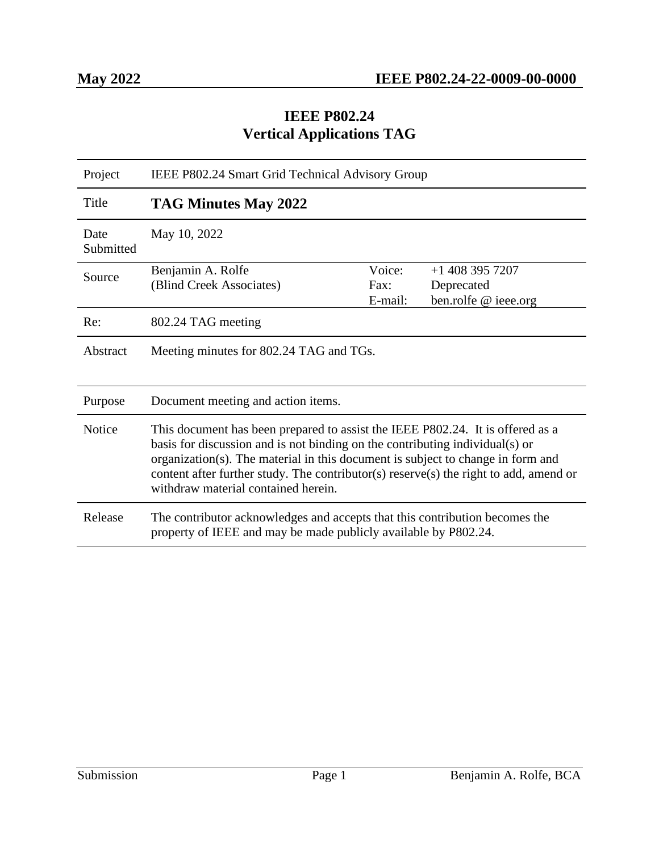#### **IEEE P802.24 Vertical Applications TAG**

| Project           | IEEE P802.24 Smart Grid Technical Advisory Group                                                                                                                                                                                                                                                                                                                                  |                           |                                                         |  |
|-------------------|-----------------------------------------------------------------------------------------------------------------------------------------------------------------------------------------------------------------------------------------------------------------------------------------------------------------------------------------------------------------------------------|---------------------------|---------------------------------------------------------|--|
| Title             | TAG Minutes May 2022                                                                                                                                                                                                                                                                                                                                                              |                           |                                                         |  |
| Date<br>Submitted | May 10, 2022                                                                                                                                                                                                                                                                                                                                                                      |                           |                                                         |  |
| Source            | Benjamin A. Rolfe<br>(Blind Creek Associates)                                                                                                                                                                                                                                                                                                                                     | Voice:<br>Fax:<br>E-mail: | $+1$ 408 395 7207<br>Deprecated<br>ben.rolfe @ ieee.org |  |
| Re:               | 802.24 TAG meeting                                                                                                                                                                                                                                                                                                                                                                |                           |                                                         |  |
| Abstract          | Meeting minutes for 802.24 TAG and TGs.                                                                                                                                                                                                                                                                                                                                           |                           |                                                         |  |
| Purpose           | Document meeting and action items.                                                                                                                                                                                                                                                                                                                                                |                           |                                                         |  |
| <b>Notice</b>     | This document has been prepared to assist the IEEE P802.24. It is offered as a<br>basis for discussion and is not binding on the contributing individual(s) or<br>organization(s). The material in this document is subject to change in form and<br>content after further study. The contributor(s) reserve(s) the right to add, amend or<br>withdraw material contained herein. |                           |                                                         |  |
| Release           | The contributor acknowledges and accepts that this contribution becomes the<br>property of IEEE and may be made publicly available by P802.24.                                                                                                                                                                                                                                    |                           |                                                         |  |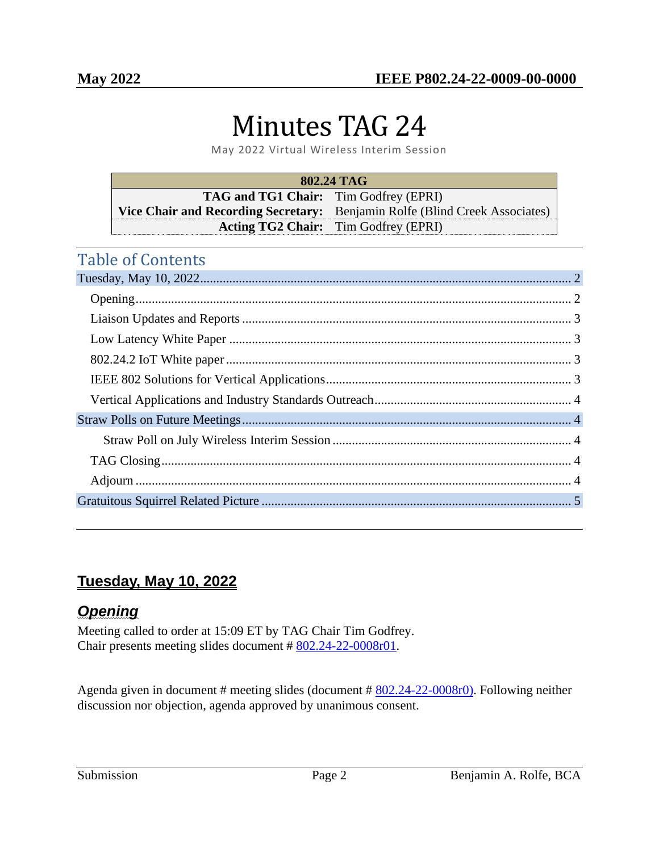# Minutes TAG 24

May 2022 Virtual Wireless Interim Session

| 802.24 TAG                                   |                                                                             |  |  |
|----------------------------------------------|-----------------------------------------------------------------------------|--|--|
| <b>TAG and TG1 Chair:</b> Tim Godfrey (EPRI) |                                                                             |  |  |
|                                              | Vice Chair and Recording Secretary: Benjamin Rolfe (Blind Creek Associates) |  |  |
|                                              | <b>Acting TG2 Chair:</b> Tim Godfrey (EPRI)                                 |  |  |

# Table of Contents

# <span id="page-1-0"></span>**Tuesday, May 10, 2022**

# <span id="page-1-1"></span>*Opening*

Meeting called to order at 15:09 ET by TAG Chair Tim Godfrey. Chair presents meeting slides document # [802.24-22-0008r01](https://mentor.ieee.org/802.24/dcn/22/24-22-0008-00-0000-may-2022-virtual-meeting-presentation.pptx).

Agenda given in document # meeting slides (document # [802.24-22-0008r0\)](https://mentor.ieee.org/802.24/dcn/22/24-22-0008-00-0000-may-2022-virtual-meeting-presentation.pptx). Following neither discussion nor objection, agenda approved by unanimous consent.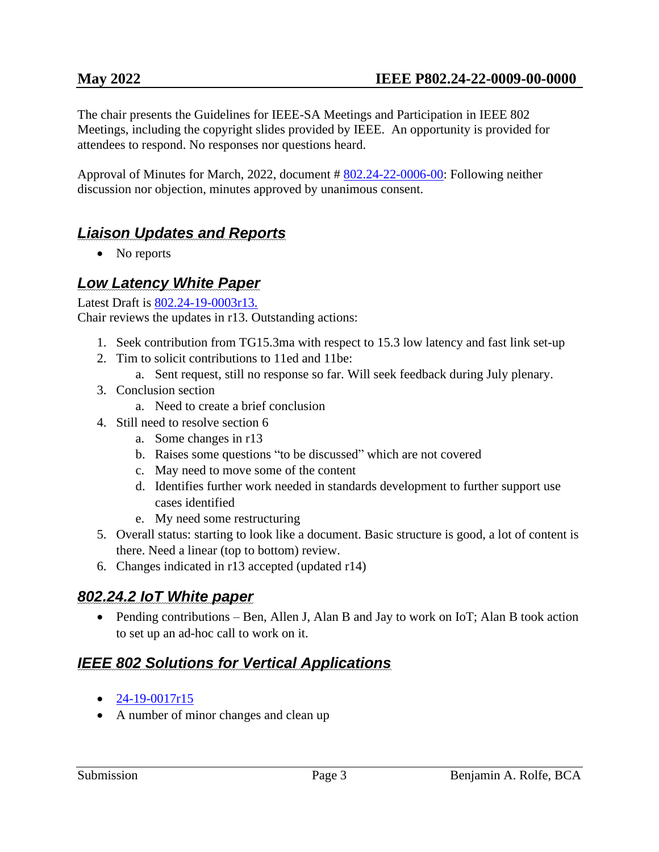The chair presents the Guidelines for IEEE-SA Meetings and Participation in IEEE 802 Meetings, including the copyright slides provided by IEEE. An opportunity is provided for attendees to respond. No responses nor questions heard.

Approval of Minutes for March, 2022, document # [802.24-22-0006-00:](https://mentor.ieee.org/802.24/dcn/22/24-22-0006-00-0000-tag-minutes-march-2022.pdf) Following neither discussion nor objection, minutes approved by unanimous consent.

# <span id="page-2-0"></span>*Liaison Updates and Reports*

• No reports

#### <span id="page-2-1"></span>*Low Latency White Paper*

Latest Draft is [802.24-19-0003r13.](https://mentor.ieee.org/802.24/dcn/19/24-19-0003-13-0000-low-latency-communication-white-paper.docx)

Chair reviews the updates in r13. Outstanding actions:

- 1. Seek contribution from TG15.3ma with respect to 15.3 low latency and fast link set-up
- 2. Tim to solicit contributions to 11ed and 11be:
	- a. Sent request, still no response so far. Will seek feedback during July plenary.
- 3. Conclusion section
	- a. Need to create a brief conclusion
- 4. Still need to resolve section 6
	- a. Some changes in r13
	- b. Raises some questions "to be discussed" which are not covered
	- c. May need to move some of the content
	- d. Identifies further work needed in standards development to further support use cases identified
	- e. My need some restructuring
- 5. Overall status: starting to look like a document. Basic structure is good, a lot of content is there. Need a linear (top to bottom) review.
- 6. Changes indicated in r13 accepted (updated r14)

# <span id="page-2-2"></span>*802.24.2 IoT White paper*

• Pending contributions – Ben, Allen J, Alan B and Jay to work on IoT; Alan B took action to set up an ad-hoc call to work on it.

# <span id="page-2-3"></span>*IEEE 802 Solutions for Vertical Applications*

- $\bullet$  [24-19-0017r15](https://mentor.ieee.org/802.24/dcn/19/24-19-0017-15-0000-ieee-802-solutions-for-vertical-applications.docx)
- A number of minor changes and clean up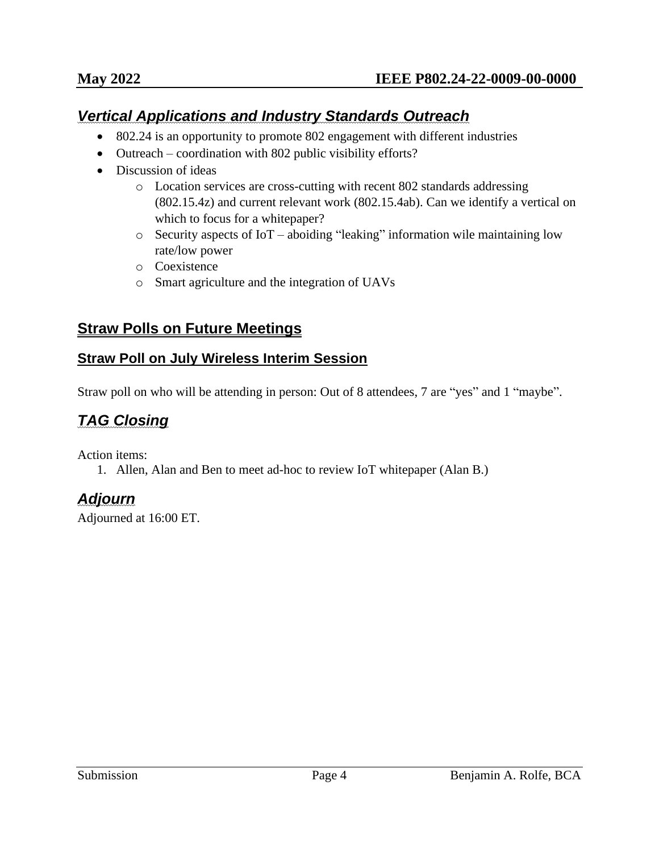#### <span id="page-3-0"></span>*Vertical Applications and Industry Standards Outreach*

- 802.24 is an opportunity to promote 802 engagement with different industries
- Outreach coordination with 802 public visibility efforts?
- Discussion of ideas
	- o Location services are cross-cutting with recent 802 standards addressing (802.15.4z) and current relevant work (802.15.4ab). Can we identify a vertical on which to focus for a whitepaper?
	- o Security aspects of IoT aboiding "leaking" information wile maintaining low rate/low power
	- o Coexistence
	- o Smart agriculture and the integration of UAVs

#### <span id="page-3-1"></span>**Straw Polls on Future Meetings**

#### <span id="page-3-2"></span>**Straw Poll on July Wireless Interim Session**

Straw poll on who will be attending in person: Out of 8 attendees, 7 are "yes" and 1 "maybe".

# <span id="page-3-3"></span>*TAG Closing*

Action items:

1. Allen, Alan and Ben to meet ad-hoc to review IoT whitepaper (Alan B.)

#### <span id="page-3-4"></span>*Adjourn*

Adjourned at 16:00 ET.